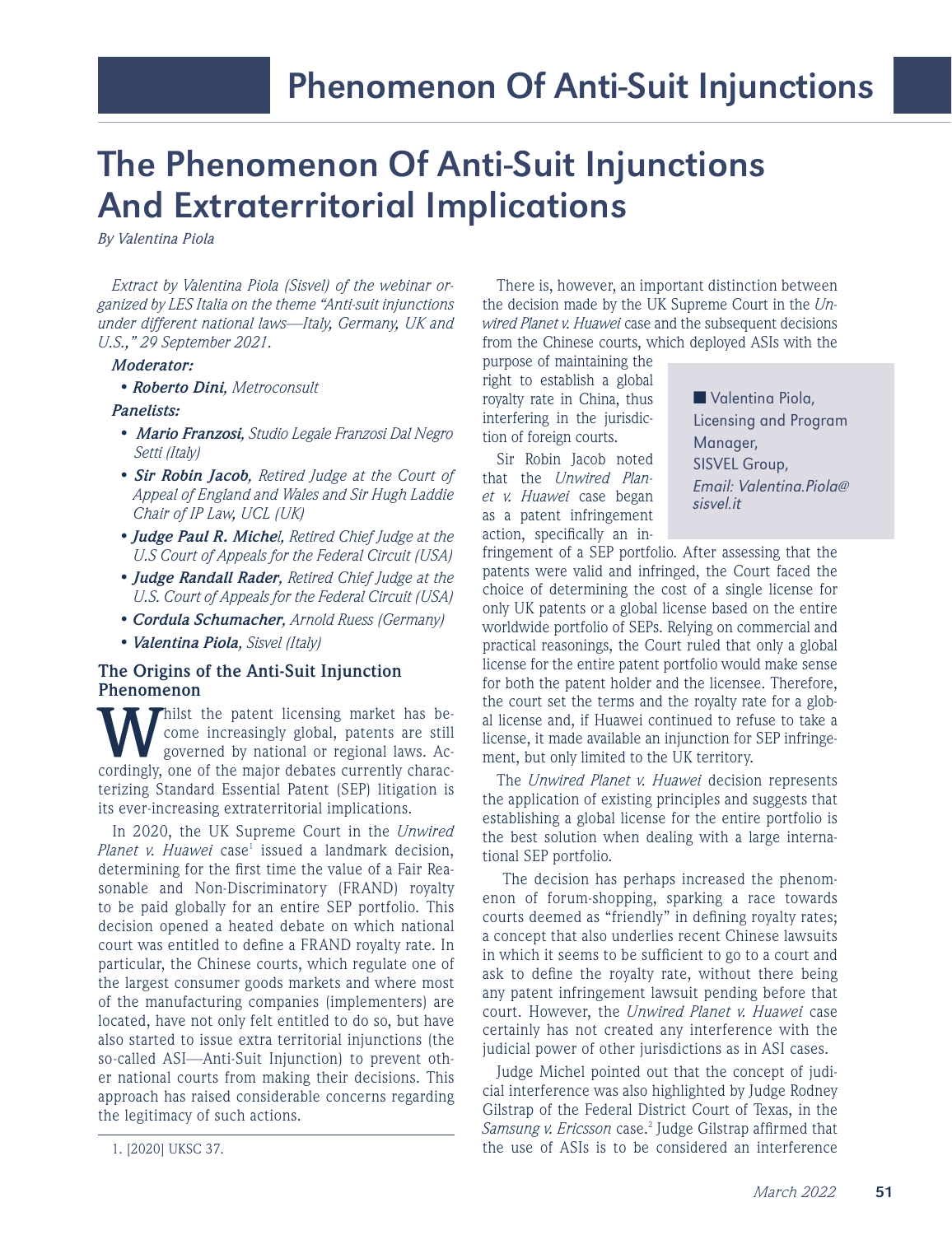# The Phenomenon Of Anti-Suit Injunctions And Extraterritorial Implications

 *By Valentina Piola*

*Extract by Valentina Piola (Sisvel) of the webinar organized by LES Italia on the theme "Anti-suit injunctions under different national laws—Italy, Germany, UK and U.S.," 29 September 2021.* 

#### *Moderator:*

- *Roberto Dini, Metroconsult*
- *Panelists:*
- *Mario Franzosi, Studio Legale Franzosi Dal Negro Setti (Italy)*
- *Sir Robin Jacob, Retired Judge at the Court of Appeal of England and Wales and Sir Hugh Laddie Chair of IP Law, UCL (UK)*
- *Judge Paul R. Michel, Retired Chief Judge at the U.S Court of Appeals for the Federal Circuit (USA)*
- *• Judge Randall Rader, Retired Chief Judge at the U.S. Court of Appeals for the Federal Circuit (USA)*
- *Cordula Schumacher, Arnold Ruess (Germany)*
- *Valentina Piola, Sisvel (Italy)*

### **The Origins of the Anti-Suit Injunction Phenomenon**

**Whilst** the patent licensing market has become increasingly global, patents are still governed by national or regional laws. Accordingly, one of the major debates currently characterizing Standard Essential Patent (SEP) litigation is its ever-increasing extraterritorial implications.

In 2020, the UK Supreme Court in the *Unwired*  Planet v. Huawei case<sup>1</sup> issued a landmark decision, determining for the first time the value of a Fair Reasonable and Non-Discriminatory (FRAND) royalty to be paid globally for an entire SEP portfolio. This decision opened a heated debate on which national court was entitled to define a FRAND royalty rate. In particular, the Chinese courts, which regulate one of the largest consumer goods markets and where most of the manufacturing companies (implementers) are located, have not only felt entitled to do so, but have also started to issue extra territorial injunctions (the so-called ASI—Anti-Suit Injunction) to prevent other national courts from making their decisions. This approach has raised considerable concerns regarding the legitimacy of such actions.

There is, however, an important distinction between the decision made by the UK Supreme Court in the *Unwired Planet v. Huawei* case and the subsequent decisions from the Chinese courts, which deployed ASIs with the

purpose of maintaining the right to establish a global royalty rate in China, thus interfering in the jurisdiction of foreign courts.

Sir Robin Jacob noted that the *Unwired Planet v. Huawei* case began as a patent infringement action, specifically an in■ Valentina Piola, Licensing and Program Manager, SISVEL Group, Email: Valentina.Piola@ sisvel.it

fringement of a SEP portfolio. After assessing that the patents were valid and infringed, the Court faced the choice of determining the cost of a single license for only UK patents or a global license based on the entire worldwide portfolio of SEPs. Relying on commercial and practical reasonings, the Court ruled that only a global license for the entire patent portfolio would make sense for both the patent holder and the licensee. Therefore, the court set the terms and the royalty rate for a global license and, if Huawei continued to refuse to take a license, it made available an injunction for SEP infringement, but only limited to the UK territory.

The *Unwired Planet v. Huawei* decision represents the application of existing principles and suggests that establishing a global license for the entire portfolio is the best solution when dealing with a large international SEP portfolio.

 The decision has perhaps increased the phenomenon of forum-shopping, sparking a race towards courts deemed as "friendly" in defining royalty rates; a concept that also underlies recent Chinese lawsuits in which it seems to be sufficient to go to a court and ask to define the royalty rate, without there being any patent infringement lawsuit pending before that court. However, the *Unwired Planet v. Huawei* case certainly has not created any interference with the judicial power of other jurisdictions as in ASI cases.

Judge Michel pointed out that the concept of judicial interference was also highlighted by Judge Rodney Gilstrap of the Federal District Court of Texas, in the Samsung v. Ericsson case.<sup>2</sup> Judge Gilstrap affirmed that the use of ASIs is to be considered an interference

<sup>1. [2020]</sup> UKSC 37.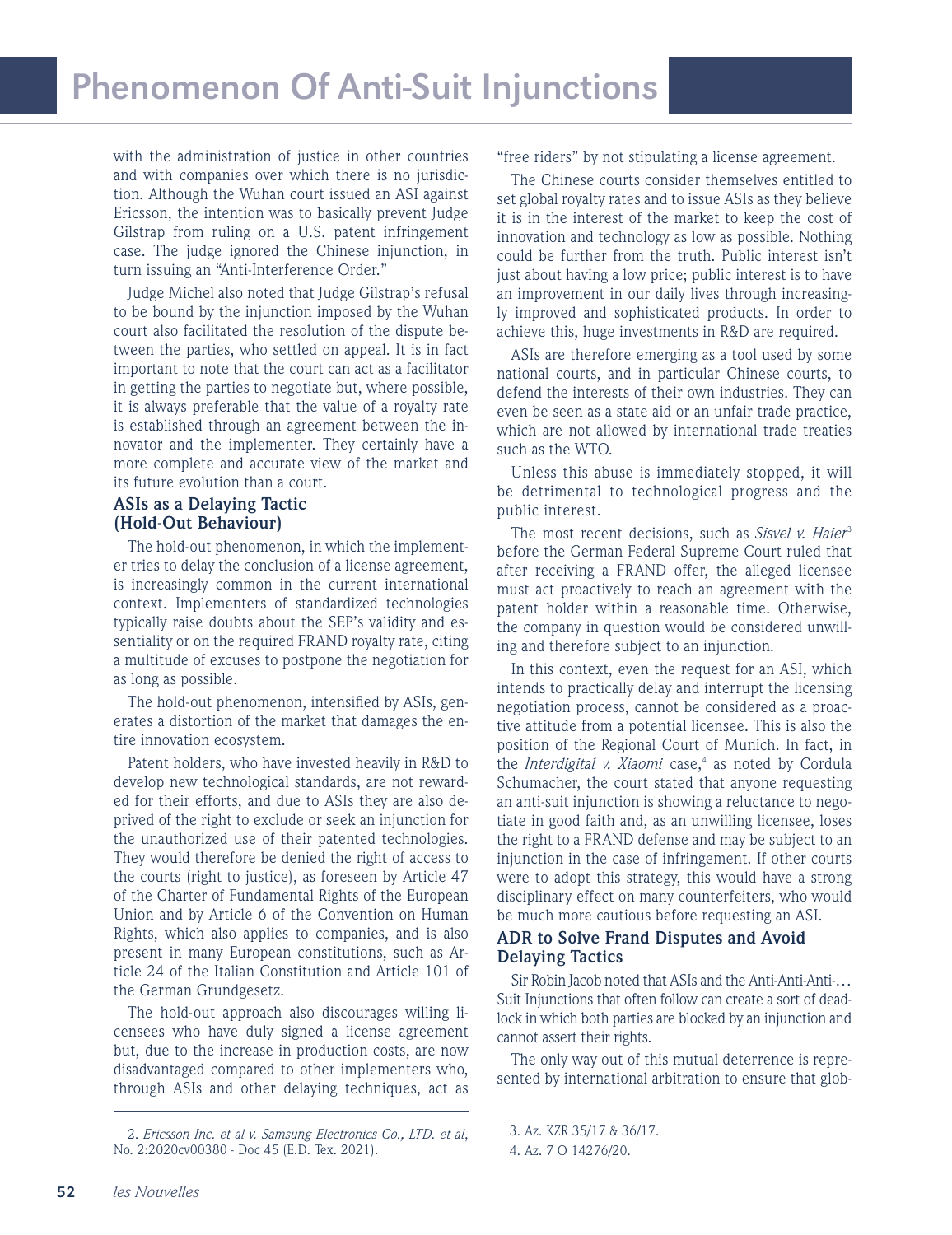with the administration of justice in other countries and with companies over which there is no jurisdiction. Although the Wuhan court issued an ASI against Ericsson, the intention was to basically prevent Judge Gilstrap from ruling on a U.S. patent infringement case. The judge ignored the Chinese injunction, in turn issuing an "Anti-Interference Order."

Judge Michel also noted that Judge Gilstrap's refusal to be bound by the injunction imposed by the Wuhan court also facilitated the resolution of the dispute between the parties, who settled on appeal. It is in fact important to note that the court can act as a facilitator in getting the parties to negotiate but, where possible, it is always preferable that the value of a royalty rate is established through an agreement between the innovator and the implementer. They certainly have a more complete and accurate view of the market and its future evolution than a court.

## **ASIs as a Delaying Tactic (Hold-Out Behaviour)**

The hold-out phenomenon, in which the implementer tries to delay the conclusion of a license agreement, is increasingly common in the current international context. Implementers of standardized technologies typically raise doubts about the SEP's validity and essentiality or on the required FRAND royalty rate, citing a multitude of excuses to postpone the negotiation for as long as possible.

The hold-out phenomenon, intensified by ASIs, generates a distortion of the market that damages the entire innovation ecosystem.

Patent holders, who have invested heavily in R&D to develop new technological standards, are not rewarded for their efforts, and due to ASIs they are also deprived of the right to exclude or seek an injunction for the unauthorized use of their patented technologies. They would therefore be denied the right of access to the courts (right to justice), as foreseen by Article 47 of the Charter of Fundamental Rights of the European Union and by Article 6 of the Convention on Human Rights, which also applies to companies, and is also present in many European constitutions, such as Article 24 of the Italian Constitution and Article 101 of the German Grundgesetz.

The hold-out approach also discourages willing licensees who have duly signed a license agreement but, due to the increase in production costs, are now disadvantaged compared to other implementers who, through ASIs and other delaying techniques, act as "free riders" by not stipulating a license agreement.

The Chinese courts consider themselves entitled to set global royalty rates and to issue ASIs as they believe it is in the interest of the market to keep the cost of innovation and technology as low as possible. Nothing could be further from the truth. Public interest isn't just about having a low price; public interest is to have an improvement in our daily lives through increasingly improved and sophisticated products. In order to achieve this, huge investments in R&D are required.

ASIs are therefore emerging as a tool used by some national courts, and in particular Chinese courts, to defend the interests of their own industries. They can even be seen as a state aid or an unfair trade practice, which are not allowed by international trade treaties such as the WTO.

Unless this abuse is immediately stopped, it will be detrimental to technological progress and the public interest.

The most recent decisions, such as *Sisvel v. Haier<sup>3</sup>* before the German Federal Supreme Court ruled that after receiving a FRAND offer, the alleged licensee must act proactively to reach an agreement with the patent holder within a reasonable time. Otherwise, the company in question would be considered unwilling and therefore subject to an injunction.

In this context, even the request for an ASI, which intends to practically delay and interrupt the licensing negotiation process, cannot be considered as a proactive attitude from a potential licensee. This is also the position of the Regional Court of Munich. In fact, in the *Interdigital v. Xiaomi* case,<sup>4</sup> as noted by Cordula Schumacher, the court stated that anyone requesting an anti-suit injunction is showing a reluctance to negotiate in good faith and, as an unwilling licensee, loses the right to a FRAND defense and may be subject to an injunction in the case of infringement. If other courts were to adopt this strategy, this would have a strong disciplinary effect on many counterfeiters, who would be much more cautious before requesting an ASI.

# **ADR to Solve Frand Disputes and Avoid Delaying Tactics**

Sir Robin Jacob noted that ASIs and the Anti-Anti-Anti-… Suit Injunctions that often follow can create a sort of deadlock in which both parties are blocked by an injunction and cannot assert their rights.

The only way out of this mutual deterrence is represented by international arbitration to ensure that glob-

<sup>2.</sup> *Ericsson Inc. et al v. Samsung Electronics Co., LTD. et al*, No. 2:2020cv00380 - Doc 45 (E.D. Tex. 2021).

<sup>3.</sup> Az. KZR 35/17 & 36/17. 4. Az. 7 O 14276/20.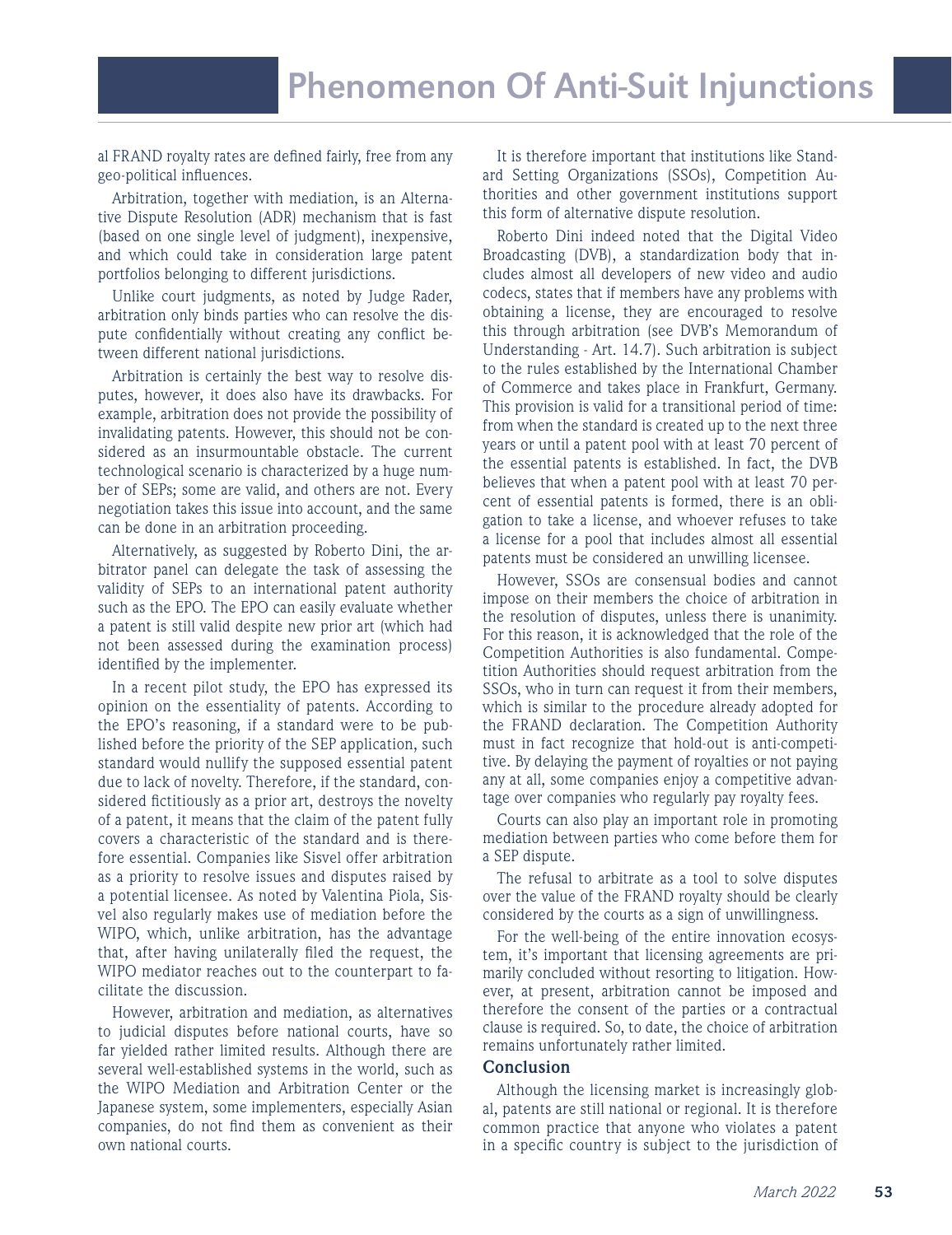al FRAND royalty rates are defined fairly, free from any geo-political influences.

Arbitration, together with mediation, is an Alternative Dispute Resolution (ADR) mechanism that is fast (based on one single level of judgment), inexpensive, and which could take in consideration large patent portfolios belonging to different jurisdictions.

Unlike court judgments, as noted by Judge Rader, arbitration only binds parties who can resolve the dispute confidentially without creating any conflict between different national jurisdictions.

Arbitration is certainly the best way to resolve disputes, however, it does also have its drawbacks. For example, arbitration does not provide the possibility of invalidating patents. However, this should not be considered as an insurmountable obstacle. The current technological scenario is characterized by a huge number of SEPs; some are valid, and others are not. Every negotiation takes this issue into account, and the same can be done in an arbitration proceeding.

Alternatively, as suggested by Roberto Dini, the arbitrator panel can delegate the task of assessing the validity of SEPs to an international patent authority such as the EPO. The EPO can easily evaluate whether a patent is still valid despite new prior art (which had not been assessed during the examination process) identified by the implementer.

In a recent pilot study, the EPO has expressed its opinion on the essentiality of patents. According to the EPO's reasoning, if a standard were to be published before the priority of the SEP application, such standard would nullify the supposed essential patent due to lack of novelty. Therefore, if the standard, considered fictitiously as a prior art, destroys the novelty of a patent, it means that the claim of the patent fully covers a characteristic of the standard and is therefore essential. Companies like Sisvel offer arbitration as a priority to resolve issues and disputes raised by a potential licensee. As noted by Valentina Piola, Sisvel also regularly makes use of mediation before the WIPO, which, unlike arbitration, has the advantage that, after having unilaterally filed the request, the WIPO mediator reaches out to the counterpart to facilitate the discussion.

However, arbitration and mediation, as alternatives to judicial disputes before national courts, have so far yielded rather limited results. Although there are several well-established systems in the world, such as the WIPO Mediation and Arbitration Center or the Japanese system, some implementers, especially Asian companies, do not find them as convenient as their own national courts.

It is therefore important that institutions like Standard Setting Organizations (SSOs), Competition Authorities and other government institutions support this form of alternative dispute resolution.

Roberto Dini indeed noted that the Digital Video Broadcasting (DVB), a standardization body that includes almost all developers of new video and audio codecs, states that if members have any problems with obtaining a license, they are encouraged to resolve this through arbitration (see DVB's Memorandum of Understanding - Art. 14.7). Such arbitration is subject to the rules established by the International Chamber of Commerce and takes place in Frankfurt, Germany. This provision is valid for a transitional period of time: from when the standard is created up to the next three years or until a patent pool with at least 70 percent of the essential patents is established. In fact, the DVB believes that when a patent pool with at least 70 percent of essential patents is formed, there is an obligation to take a license, and whoever refuses to take a license for a pool that includes almost all essential patents must be considered an unwilling licensee.

However, SSOs are consensual bodies and cannot impose on their members the choice of arbitration in the resolution of disputes, unless there is unanimity. For this reason, it is acknowledged that the role of the Competition Authorities is also fundamental. Competition Authorities should request arbitration from the SSOs, who in turn can request it from their members, which is similar to the procedure already adopted for the FRAND declaration. The Competition Authority must in fact recognize that hold-out is anti-competitive. By delaying the payment of royalties or not paying any at all, some companies enjoy a competitive advantage over companies who regularly pay royalty fees.

Courts can also play an important role in promoting mediation between parties who come before them for a SEP dispute.

The refusal to arbitrate as a tool to solve disputes over the value of the FRAND royalty should be clearly considered by the courts as a sign of unwillingness.

For the well-being of the entire innovation ecosystem, it's important that licensing agreements are primarily concluded without resorting to litigation. However, at present, arbitration cannot be imposed and therefore the consent of the parties or a contractual clause is required. So, to date, the choice of arbitration remains unfortunately rather limited.

#### **Conclusion**

Although the licensing market is increasingly global, patents are still national or regional. It is therefore common practice that anyone who violates a patent in a specific country is subject to the jurisdiction of